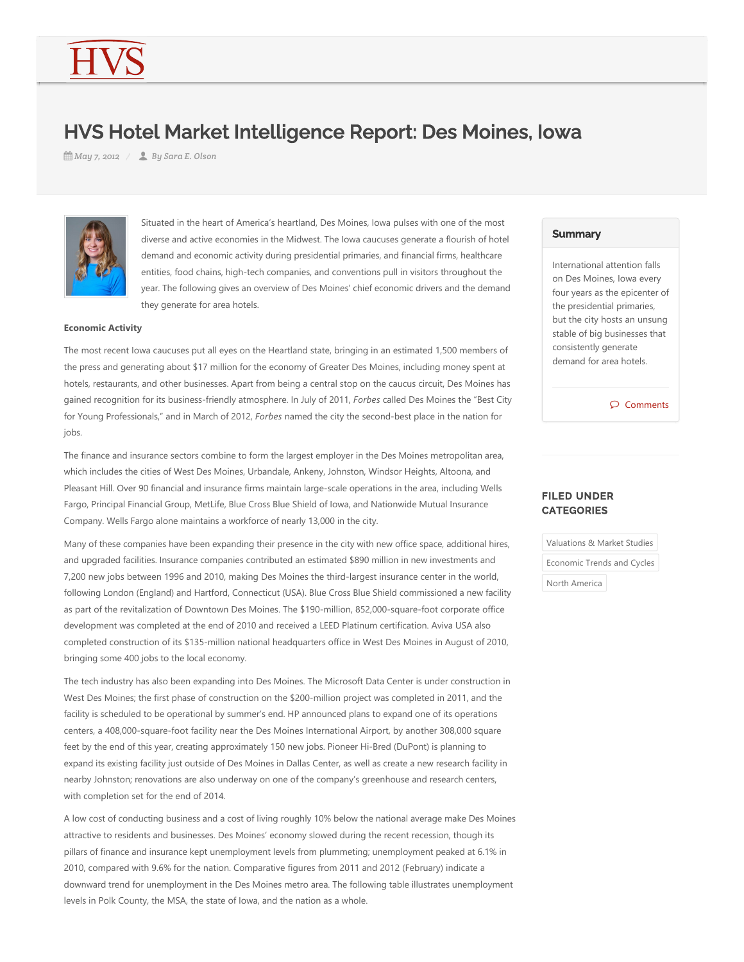# HVS Hotel Market Intelligence Report: Des Moines, Iowa

*May 7, 2012 By Sara E. Olson*



Situated in the heart of America's heartland, Des Moines, Iowa pulses with one of the most diverse and active economies in the Midwest. The Iowa caucuses generate a flourish of hotel demand and economic activity during presidential primaries, and financial firms, healthcare entities, food chains, high‐tech companies, and conventions pull in visitors throughout the year. The following gives an overview of Des Moines' chief economic drivers and the demand they generate for area hotels.

## **Economic Activity**

The most recent Iowa caucuses put all eyes on the Heartland state, bringing in an estimated 1,500 members of the press and generating about \$17 million for the economy of Greater Des Moines, including money spent at hotels, restaurants, and other businesses. Apart from being a central stop on the caucus circuit, Des Moines has gained recognition for its business‐friendly atmosphere. In July of 2011, *Forbes* called Des Moines the "Best City for Young Professionals," and in March of 2012, *Forbes* named the city the second‐best place in the nation for jobs.

The finance and insurance sectors combine to form the largest employer in the Des Moines metropolitan area, which includes the cities of West Des Moines, Urbandale, Ankeny, Johnston, Windsor Heights, Altoona, and Pleasant Hill. Over 90 financial and insurance firms maintain large‐scale operations in the area, including Wells Fargo, Principal Financial Group, MetLife, Blue Cross Blue Shield of Iowa, and Nationwide Mutual Insurance Company. Wells Fargo alone maintains a workforce of nearly 13,000 in the city.

Many of these companies have been expanding their presence in the city with new office space, additional hires, and upgraded facilities. Insurance companies contributed an estimated \$890 million in new investments and 7,200 new jobs between 1996 and 2010, making Des Moines the third‐largest insurance center in the world, following London (England) and Hartford, Connecticut (USA). Blue Cross Blue Shield commissioned a new facility as part of the revitalization of Downtown Des Moines. The \$190-million, 852,000-square-foot corporate office development was completed at the end of 2010 and received a LEED Platinum certification. Aviva USA also completed construction of its \$135‐million national headquarters office in West Des Moines in August of 2010, bringing some 400 jobs to the local economy.

The tech industry has also been expanding into Des Moines. The Microsoft Data Center is under construction in West Des Moines; the first phase of construction on the \$200-million project was completed in 2011, and the facility is scheduled to be operational by summer's end. HP announced plans to expand one of its operations centers, a 408,000‐square‐foot facility near the Des Moines International Airport, by another 308,000 square feet by the end of this year, creating approximately 150 new jobs. Pioneer Hi-Bred (DuPont) is planning to expand its existing facility just outside of Des Moines in Dallas Center, as well as create a new research facility in nearby Johnston; renovations are also underway on one of the company's greenhouse and research centers, with completion set for the end of 2014.

A low cost of conducting business and a cost of living roughly 10% below the national average make Des Moines attractive to residents and businesses. Des Moines' economy slowed during the recent recession, though its pillars of finance and insurance kept unemployment levels from plummeting; unemployment peaked at 6.1% in 2010, compared with 9.6% for the nation. Comparative figures from 2011 and 2012 (February) indicate a downward trend for unemployment in the Des Moines metro area. The following table illustrates unemployment levels in Polk County, the MSA, the state of Iowa, and the nation as a whole.

## **Summary**

International attention falls on Des Moines, Iowa every four years as the epicenter of the presidential primaries, but the city hosts an unsung stable of big businesses that consistently generate demand for area hotels.

Comments

## FILED UNDER **CATEGORIES**

| Valuations & Market Studies |  |  |  |
|-----------------------------|--|--|--|
| Economic Trends and Cycles  |  |  |  |
| North America               |  |  |  |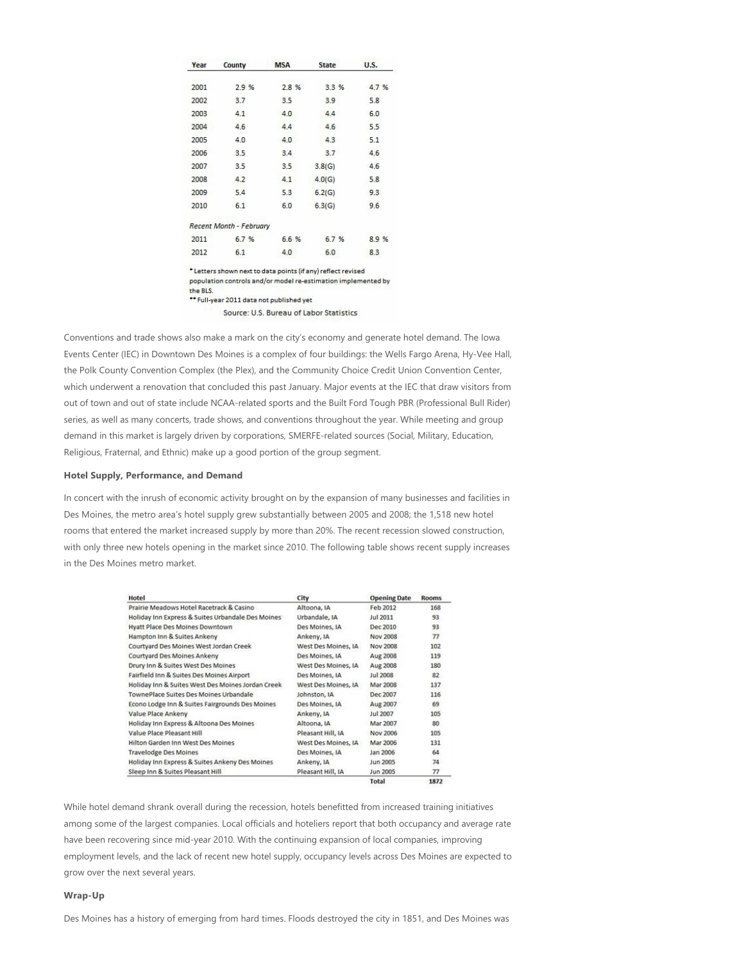| Year | County                  | <b>MSA</b> | <b>State</b> | <b>U.S.</b> |
|------|-------------------------|------------|--------------|-------------|
| 2001 | 2.9 %                   | 2.8 %      | 3.3%         | 4.7 %       |
| 2002 | 3.7                     | 3.5        | 3.9          | 5.8         |
| 2003 | 4.1                     | 4.0        | 4.4          | 6.0         |
| 2004 | 4.6                     | 4.4        | 4.6          | 5.5         |
| 2005 | 4.0                     | 4.0        | 4.3          | 5.1         |
| 2006 | 3.5                     | 3.4        | 3.7          | 4.6         |
| 2007 | 3.5                     | 3.5        | 3.8(G)       | 4.6         |
| 2008 | 4.2                     | 4.1        | 4.0(G)       | 5.8         |
| 2009 | 5.4                     | 5.3        | 6.2(G)       | 9.3         |
| 2010 | 6.1                     | 6.0        | 6.3(G)       | 9.6         |
|      | Recent Month - February |            |              |             |
| 2011 | 6.7 %                   | 6.6 %      | 6.7 %        | 8.9%        |
| 2012 | 6.1                     | 4.0        | 6.0          | 8.3         |

\* Letters shown next to data points (if any) reflect revised population controls and/or model re-estimation implemented by the BLS. \*\* Full-year 2011 data not published yet

Source: U.S. Bureau of Labor Statistics

Conventions and trade shows also make a mark on the city's economy and generate hotel demand. The Iowa Events Center (IEC) in Downtown Des Moines is a complex of four buildings: the Wells Fargo Arena, Hy-Vee Hall, the Polk County Convention Complex (the Plex), and the Community Choice Credit Union Convention Center, which underwent a renovation that concluded this past January. Major events at the IEC that draw visitors from out of town and out of state include NCAA-related sports and the Built Ford Tough PBR (Professional Bull Rider) series, as well as many concerts, trade shows, and conventions throughout the year. While meeting and group demand in this market is largely driven by corporations, SMERFE-related sources (Social, Military, Education, Religious, Fraternal, and Ethnic) make up a good portion of the group segment.

## **Hotel Supply, Performance, and Demand**

In concert with the inrush of economic activity brought on by the expansion of many businesses and facilities in Des Moines, the metro area's hotel supply grew substantially between 2005 and 2008; the 1,518 new hotel rooms that entered the market increased supply by more than 20%. The recent recession slowed construction, with only three new hotels opening in the market since 2010. The following table shows recent supply increases in the Des Moines metro market.

| Hotel                                             | City                | <b>Opening Date</b> | <b>Rooms</b> |
|---------------------------------------------------|---------------------|---------------------|--------------|
| Prairie Meadows Hotel Racetrack & Casino          | Altoona, IA         | Feb 2012            | 168          |
| Holiday Inn Express & Suites Urbandale Des Moines | Urbandale, IA       | Jul 2011            | 93           |
| Hyatt Place Des Moines Downtown                   | Des Moines, IA      | Dec 2010            | 93           |
| Hampton Inn & Suites Ankeny                       | Ankeny, IA          | <b>Nov 2008</b>     | 77           |
| Courtyard Des Moines West Jordan Creek            | West Des Moines, IA | Nov 2008            | 102          |
| Courtvard Des Moines Ankeny                       | Des Moines, IA      | Aug 2008            | 119          |
| Drury Inn & Suites West Des Moines                | West Des Moines, IA | Aug 2008            | 180          |
| Fairfield Inn & Suites Des Moines Airport         | Des Moines, IA      | Jul 2008            | 82           |
| Holiday Inn & Suites West Des Moines Jordan Creek | West Des Moines, IA | Mar 2008            | 137          |
| TownePlace Suites Des Moines Urbandale            | Johnston, IA        | Dec 2007            | 116          |
| Econo Lodge Inn & Suites Fairgrounds Des Moines   | Des Moines, IA      | Aug 2007            | 69           |
| Value Place Ankeny                                | Ankeny, IA          | Jul 2007            | 105          |
| Holiday Inn Express & Altoona Des Moines          | Altoona, IA         | Mar 2007            | 80           |
| Value Place Pleasant Hill                         | Pleasant Hill, IA   | Nov 2006            | 105          |
| Hilton Garden Inn West Des Moines                 | West Des Moines, IA | Mar 2006            | 131          |
| <b>Travelodge Des Moines</b>                      | Des Moines, IA      | Jan 2006            | 64           |
| Holiday Inn Express & Suites Ankeny Des Moines    | Ankeny, IA          | Jun 2005            | 74           |
| Sleep Inn & Suites Pleasant Hill                  | Pleasant Hill, IA   | Jun 2005            | 77           |
|                                                   |                     | Total               | 1872         |

While hotel demand shrank overall during the recession, hotels benefitted from increased training initiatives among some of the largest companies. Local officials and hoteliers report that both occupancy and average rate have been recovering since mid-year 2010. With the continuing expansion of local companies, improving employment levels, and the lack of recent new hotel supply, occupancy levels across Des Moines are expected to grow over the next several years.

## **Wrap‐Up**

Des Moines has a history of emerging from hard times. Floods destroyed the city in 1851, and Des Moines was